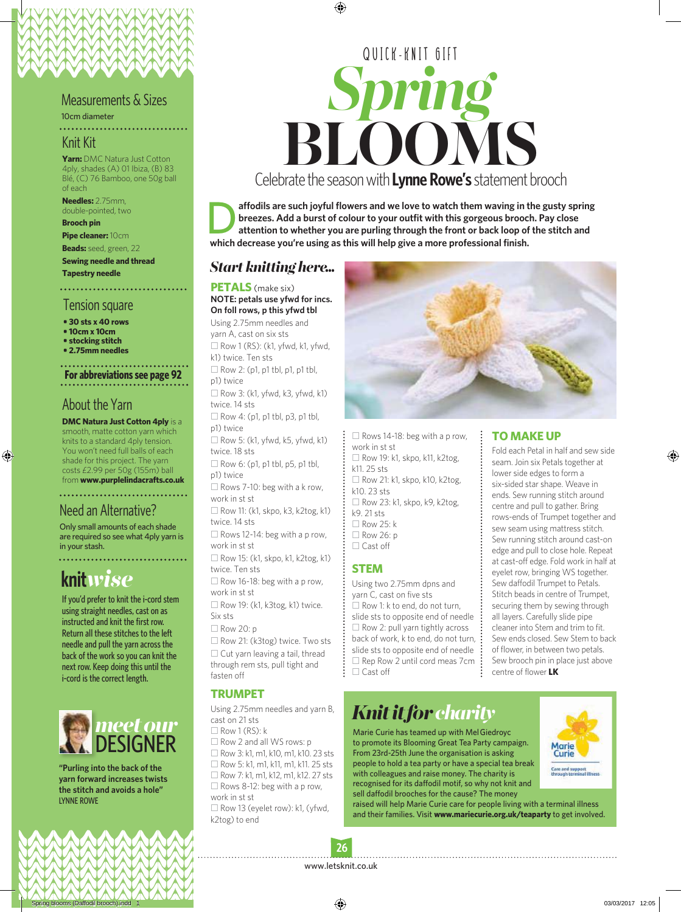#### Measurements & Sizes

10cm diameter

## Knit Kit

**Yarn:** DMC Natura Just Cotton 4ply, shades (A) 01 Ibiza, (B) 83 Blé, (C) 76 Bamboo, one 50g ball of each

**Needles:** 2.75mm, double-pointed, two

**Brooch pin**

**Pipe cleaner:** 10cm **Beads:** seed, green, 22

**Sewing needle and thread**

**Tapestry needle**

# Tension square

**• 30 sts x 40 rows**

- **10cm x 10cm**
- **stocking stitch**
- **2.75mm needles**

**For abbreviations see page 92**

## About the Yarn

**DMC Natura Just Cotton 4ply** is a smooth, matte cotton yarn which knits to a standard 4ply tension. You won't need full balls of each shade for this project. The yarn costs £2.99 per 50g (155m) ball from **www.purplelindacrafts.co.uk**

# Need an Alternative?

Only small amounts of each shade are required so see what 4ply yarn is in your stash.

. . . . . . . . . . . . . . . .

# **knit***wise*

If you'd prefer to knit the i-cord stem using straight needles, cast on as instructed and knit the first row. Return all these stitches to the left needle and pull the yarn across the back of the work so you can knit the next row. Keep doing this until the i-cord is the correct length.



**"Purling into the back of the yarn forward increases twists the stitch and avoids a hole"** LYNNE ROWE

# *Spring* **BLOOMS**<br>prate the season with **Lynne Rowe's** statement br QUICK-KNIT GIFT Celebrate the season with **Lynne Rowe's** statement brooch

affodils are such joyful flowers and we love to watch them waving in the gusty spring **breezes. Add a burst of colour to your outfit with this gorgeous brooch. Pay close attention to whether you are purling through the front or back loop of the stitch and which decrease you're using as this will help give a more professional finish.**

## *Start knitting here...*

#### **PETALS** (make six)

#### **NOTE: petals use yfwd for incs. On foll rows, p this yfwd tbl**

Using 2.75mm needles and yarn A, cast on six sts  $\Box$  Row 1 (RS): (k1, yfwd, k1, yfwd, k1) twice. Ten sts  $\Box$  Row 2: (p1, p1 tbl, p1, p1 tbl, p1) twice  $\Box$  Row 3: (k1, yfwd, k3, yfwd, k1) twice. 14 sts  $\Box$  Row 4: (p1, p1 tbl, p3, p1 tbl, p1) twice  $\Box$  Row 5: (k1, yfwd, k5, yfwd, k1) twice. 18 sts  $\Box$  Row 6: (p1, p1 tbl, p5, p1 tbl, p1) twice  $\square$  Rows 7-10: beg with a k row, work in st st  $\Box$  Row 11: (k1, skpo, k3, k2tog, k1) twice. 14 sts  $\Box$  Rows 12-14: beg with a p row, work in st st  $\Box$  Row 15: (k1, skpo, k1, k2tog, k1) twice. Ten sts  $\square$  Row 16-18: beg with a p row, work in st st

 $\square$  Row 19: (k1, k3tog, k1) twice. Six sts

 $\Box$  Row 20: p

 $\square$  Row 21: (k3tog) twice. Two sts  $\square$  Cut yarn leaving a tail, thread through rem sts, pull tight and fasten off

#### **TRUMPET**

Using 2.75mm needles and yarn B, cast on 21 sts  $\Box$  Row 1 (RS): k  $\square$  Row 2 and all WS rows: p  $\Box$  Row 3: k1, m1, k10, m1, k10. 23 sts □ Row 5: k1, m1, k11, m1, k11. 25 sts

 $\Box$  Row 7: k1, m1, k12, m1, k12, 27 sts  $\Box$  Rows 8-12: beg with a p row, work in st st  $\Box$  Row 13 (eyelet row): k1, (yfwd, k2tog) to end



 $\Box$  Rows 14-18: beg with a p row, work in st st  $\Box$  Row 19: k1, skpo, k11, k2tog, k11. 25 sts  $\Box$  Row 21: k1, skpo, k10, k2tog, k10. 23 sts  $\Box$  Row 23: k1, skpo, k9, k2tog, k9. 21 sts  $\Box$  Row 25: k  $\Box$  Row 26: p  $\Box$  Cast off

#### **STEM**

Using two 2.75mm dpns and yarn C, cast on five sts  $\Box$  Row 1: k to end, do not turn, slide sts to opposite end of needle  $\square$  Row 2: pull yarn tightly across back of work, k to end, do not turn, slide sts to opposite end of needle  $\square$  Rep Row 2 until cord meas 7cm □ Cast off

#### **TO MAKE UP**

Fold each Petal in half and sew side seam. Join six Petals together at lower side edges to form a six-sided star shape. Weave in ends. Sew running stitch around centre and pull to gather. Bring rows-ends of Trumpet together and sew seam using mattress stitch. Sew running stitch around cast-on edge and pull to close hole. Repeat at cast-off edge. Fold work in half at eyelet row, bringing WS together. Sew daffodil Trumpet to Petals. Stitch beads in centre of Trumpet, securing them by sewing through all layers. Carefully slide pipe cleaner into Stem and trim to fit. Sew ends closed. Sew Stem to back of flower, in between two petals. Sew brooch pin in place just above centre of flower **LK**

# *Knit it for charity*

Marie Curie has teamed up with Mel Giedroyc to promote its Blooming Great Tea Party campaign. From 23rd-25th June the organisation is asking people to hold a tea party or have a special tea break with colleagues and raise money. The charity is recognised for its daffodil motif, so why not knit and sell daffodil brooches for the cause? The money



raised will help Marie Curie care for people living with a terminal illness and their families. Visit **www.mariecurie.org.uk/teaparty** to get involved.